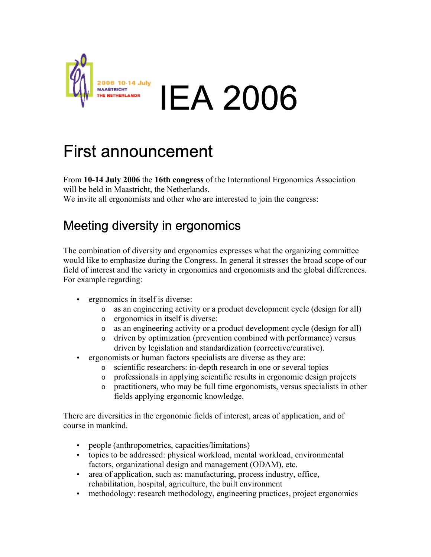

## First announcement

From **10-14 July 2006** the **16th congress** of the International Ergonomics Association will be held in Maastricht, the Netherlands. We invite all ergonomists and other who are interested to join the congress:

## Meeting diversity in ergonomics

The combination of diversity and ergonomics expresses what the organizing committee would like to emphasize during the Congress. In general it stresses the broad scope of our field of interest and the variety in ergonomics and ergonomists and the global differences. For example regarding:

- ergonomics in itself is diverse:
	- o as an engineering activity or a product development cycle (design for all)
	- o ergonomics in itself is diverse:
	- o as an engineering activity or a product development cycle (design for all)
	- o driven by optimization (prevention combined with performance) versus driven by legislation and standardization (corrective/curative).
- ergonomists or human factors specialists are diverse as they are:
	- o scientific researchers: in-depth research in one or several topics
	- o professionals in applying scientific results in ergonomic design projects
	- o practitioners, who may be full time ergonomists, versus specialists in other fields applying ergonomic knowledge.

There are diversities in the ergonomic fields of interest, areas of application, and of course in mankind.

- people (anthropometrics, capacities/limitations)
- topics to be addressed: physical workload, mental workload, environmental factors, organizational design and management (ODAM), etc.
- area of application, such as: manufacturing, process industry, office, rehabilitation, hospital, agriculture, the built environment
- methodology: research methodology, engineering practices, project ergonomics